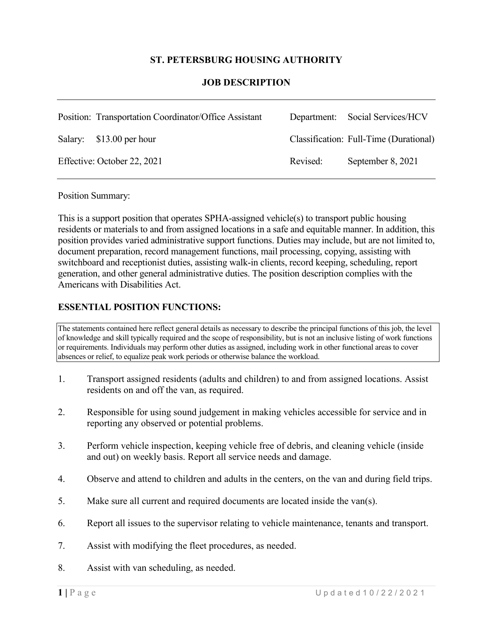### **ST. PETERSBURG HOUSING AUTHORITY**

#### **JOB DESCRIPTION**

| Position: Transportation Coordinator/Office Assistant |          | Department: Social Services/HCV        |
|-------------------------------------------------------|----------|----------------------------------------|
| Salary: \$13.00 per hour                              |          | Classification: Full-Time (Durational) |
| Effective: October 22, 2021                           | Revised: | September 8, 2021                      |

Position Summary:

This is a support position that operates SPHA-assigned vehicle(s) to transport public housing residents or materials to and from assigned locations in a safe and equitable manner. In addition, this position provides varied administrative support functions. Duties may include, but are not limited to, document preparation, record management functions, mail processing, copying, assisting with switchboard and receptionist duties, assisting walk-in clients, record keeping, scheduling, report generation, and other general administrative duties. The position description complies with the Americans with Disabilities Act.

#### **ESSENTIAL POSITION FUNCTIONS:**

The statements contained here reflect general details as necessary to describe the principal functions of this job, the level of knowledge and skill typically required and the scope of responsibility, but is not an inclusive listing of work functions or requirements. Individuals may perform other duties as assigned, including work in other functional areas to cover absences or relief, to equalize peak work periods or otherwise balance the workload.

- 1. Transport assigned residents (adults and children) to and from assigned locations. Assist residents on and off the van, as required.
- 2. Responsible for using sound judgement in making vehicles accessible for service and in reporting any observed or potential problems.
- 3. Perform vehicle inspection, keeping vehicle free of debris, and cleaning vehicle (inside and out) on weekly basis. Report all service needs and damage.
- 4. Observe and attend to children and adults in the centers, on the van and during field trips.
- 5. Make sure all current and required documents are located inside the van(s).
- 6. Report all issues to the supervisor relating to vehicle maintenance, tenants and transport.
- 7. Assist with modifying the fleet procedures, as needed.
- 8. Assist with van scheduling, as needed.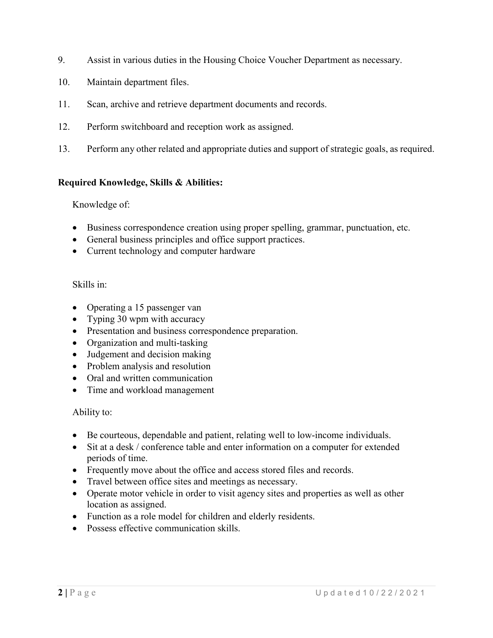- 9. Assist in various duties in the Housing Choice Voucher Department as necessary.
- 10. Maintain department files.
- 11. Scan, archive and retrieve department documents and records.
- 12. Perform switchboard and reception work as assigned.
- 13. Perform any other related and appropriate duties and support of strategic goals, as required.

## **Required Knowledge, Skills & Abilities:**

#### Knowledge of:

- Business correspondence creation using proper spelling, grammar, punctuation, etc.
- General business principles and office support practices.
- Current technology and computer hardware

#### Skills in:

- Operating a 15 passenger van
- Typing 30 wpm with accuracy
- Presentation and business correspondence preparation.
- Organization and multi-tasking
- Judgement and decision making
- Problem analysis and resolution
- Oral and written communication
- Time and workload management

#### Ability to:

- Be courteous, dependable and patient, relating well to low-income individuals.
- Sit at a desk / conference table and enter information on a computer for extended periods of time.
- Frequently move about the office and access stored files and records.
- Travel between office sites and meetings as necessary.
- Operate motor vehicle in order to visit agency sites and properties as well as other location as assigned.
- Function as a role model for children and elderly residents.
- Possess effective communication skills.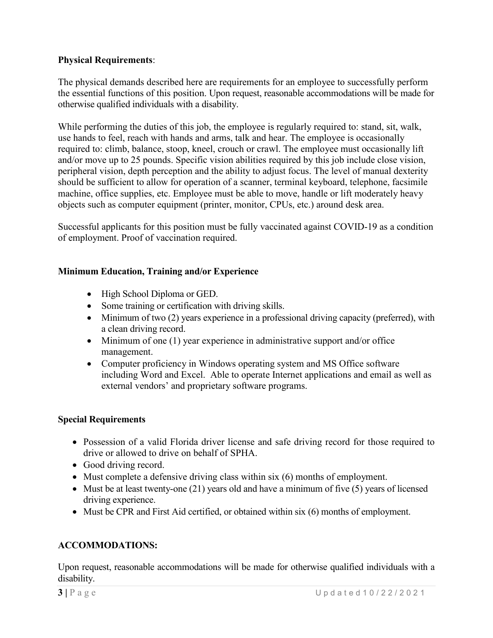# **Physical Requirements**:

The physical demands described here are requirements for an employee to successfully perform the essential functions of this position. Upon request, reasonable accommodations will be made for otherwise qualified individuals with a disability.

While performing the duties of this job, the employee is regularly required to: stand, sit, walk, use hands to feel, reach with hands and arms, talk and hear. The employee is occasionally required to: climb, balance, stoop, kneel, crouch or crawl. The employee must occasionally lift and/or move up to 25 pounds. Specific vision abilities required by this job include close vision, peripheral vision, depth perception and the ability to adjust focus. The level of manual dexterity should be sufficient to allow for operation of a scanner, terminal keyboard, telephone, facsimile machine, office supplies, etc. Employee must be able to move, handle or lift moderately heavy objects such as computer equipment (printer, monitor, CPUs, etc.) around desk area.

Successful applicants for this position must be fully vaccinated against COVID-19 as a condition of employment. Proof of vaccination required.

## **Minimum Education, Training and/or Experience**

- High School Diploma or GED.
- Some training or certification with driving skills.
- Minimum of two (2) years experience in a professional driving capacity (preferred), with a clean driving record.
- Minimum of one (1) year experience in administrative support and/or office management.
- Computer proficiency in Windows operating system and MS Office software including Word and Excel. Able to operate Internet applications and email as well as external vendors' and proprietary software programs.

#### **Special Requirements**

- Possession of a valid Florida driver license and safe driving record for those required to drive or allowed to drive on behalf of SPHA.
- Good driving record.
- Must complete a defensive driving class within six (6) months of employment.
- Must be at least twenty-one (21) years old and have a minimum of five (5) years of licensed driving experience.
- Must be CPR and First Aid certified, or obtained within six (6) months of employment.

# **ACCOMMODATIONS:**

Upon request, reasonable accommodations will be made for otherwise qualified individuals with a disability.